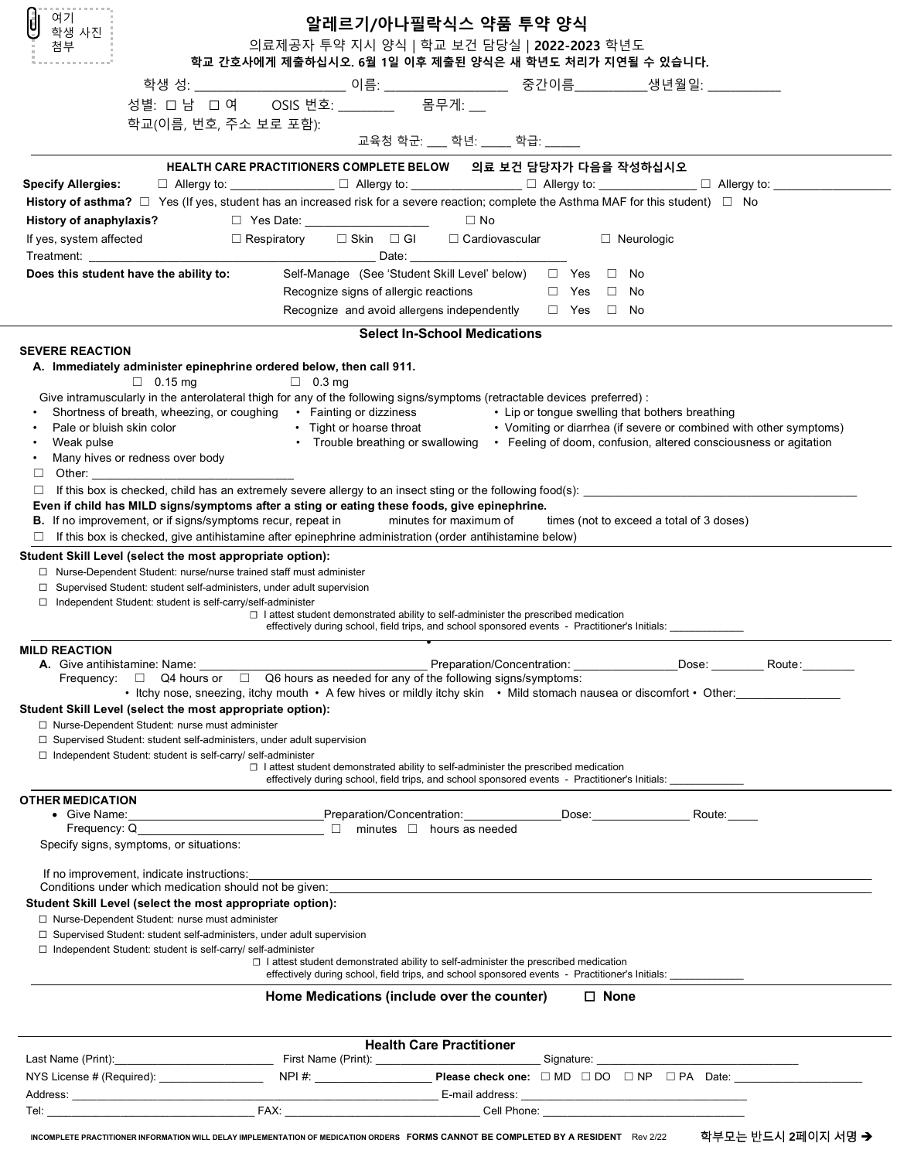| U<br>여기<br>학생 사진                                                                                                                                                                                                                    | 알레르기/아나필락식스 약품 투약 양식                                                                                                                                                                                       |
|-------------------------------------------------------------------------------------------------------------------------------------------------------------------------------------------------------------------------------------|------------------------------------------------------------------------------------------------------------------------------------------------------------------------------------------------------------|
| 첨부                                                                                                                                                                                                                                  | 의료제공자 투약 지시 양식   학교 보건 담당실   2022-2023 학년도                                                                                                                                                                 |
|                                                                                                                                                                                                                                     | 학교 간호사에게 제출하십시오. 6월 1일 이후 제출된 양식은 새 학년도 처리가 지연될 수 있습니다.                                                                                                                                                    |
|                                                                                                                                                                                                                                     | 성별: 口 남 口 여 OSIS 번호: ________ 몸무게: __                                                                                                                                                                      |
| 학교(이름, 번호, 주소 보로 포함):                                                                                                                                                                                                               |                                                                                                                                                                                                            |
|                                                                                                                                                                                                                                     | 교육청 학군: __ 학년: __ 학급: ___                                                                                                                                                                                  |
|                                                                                                                                                                                                                                     | HEALTH CARE PRACTITIONERS COMPLETE BELOW 의료 보건 담당자가 다음을 작성하십시오                                                                                                                                             |
| <b>Specify Allergies:</b>                                                                                                                                                                                                           | $\Box$ Allergy to: $\Box$ Allergy to: $\Box$ Allergy to: $\Box$ Allergy to: $\Box$ Allergy to: $\Box$ Allergy to: $\Box$ Allergy to: $\Box$                                                                |
| History of anaphylaxis?                                                                                                                                                                                                             | History of asthma? $\Box$ Yes (If yes, student has an increased risk for a severe reaction; complete the Asthma MAF for this student) $\Box$ No<br>□ Yes Date: _____________________<br>$\Box$ No          |
| If yes, system affected                                                                                                                                                                                                             | □ Respiratory   □ Skin  □ Gl    □ Cardiovascular<br>□ Neurologic                                                                                                                                           |
|                                                                                                                                                                                                                                     |                                                                                                                                                                                                            |
| Does this student have the ability to:                                                                                                                                                                                              | Self-Manage (See 'Student Skill Level' below) □ Yes □ No                                                                                                                                                   |
|                                                                                                                                                                                                                                     | Recognize signs of allergic reactions<br>$\Box$ Yes $\Box$ No<br>Recognize and avoid allergens independently<br>$\Box$ Yes $\Box$ No                                                                       |
|                                                                                                                                                                                                                                     | <b>Select In-School Medications</b>                                                                                                                                                                        |
| <b>SEVERE REACTION</b>                                                                                                                                                                                                              |                                                                                                                                                                                                            |
| A. Immediately administer epinephrine ordered below, then call 911.                                                                                                                                                                 |                                                                                                                                                                                                            |
| $\Box$ 0.15 mg                                                                                                                                                                                                                      | $\Box$ 0.3 mg<br>Give intramuscularly in the anterolateral thigh for any of the following signs/symptoms (retractable devices preferred):                                                                  |
|                                                                                                                                                                                                                                     | Shortness of breath, wheezing, or coughing • Fainting or dizziness • Lip or tongue swelling that bothers breathing                                                                                         |
| Pale or bluish skin color                                                                                                                                                                                                           | • Tight or hoarse throat • Vomiting or diarrhea (if severe or combined with other symptoms)<br>• Trouble breathing or swallowing • Feeling of doom, confusion, altered consciousness or agitation          |
| Weak pulse<br>Many hives or redness over body                                                                                                                                                                                       |                                                                                                                                                                                                            |
| Other: the contract of the contract of the contract of the contract of the contract of the contract of the contract of the contract of the contract of the contract of the contract of the contract of the contract of the con<br>⊔ |                                                                                                                                                                                                            |
| □                                                                                                                                                                                                                                   | If this box is checked, child has an extremely severe allergy to an insect sting or the following food(s):<br>Even if child has MILD signs/symptoms after a sting or eating these foods, give epinephrine. |
| <b>B.</b> If no improvement, or if signs/symptoms recur, repeat in                                                                                                                                                                  | minutes for maximum of<br>times (not to exceed a total of 3 doses)                                                                                                                                         |
|                                                                                                                                                                                                                                     | $\Box$ If this box is checked, give antihistamine after epinephrine administration (order antihistamine below)                                                                                             |
| Student Skill Level (select the most appropriate option):<br>□ Nurse-Dependent Student: nurse/nurse trained staff must administer                                                                                                   |                                                                                                                                                                                                            |
| $\Box$ Supervised Student: student self-administers, under adult supervision                                                                                                                                                        |                                                                                                                                                                                                            |
| □ Independent Student: student is self-carry/self-administer                                                                                                                                                                        | $\Box$ I attest student demonstrated ability to self-administer the prescribed medication                                                                                                                  |
|                                                                                                                                                                                                                                     | effectively during school, field trips, and school sponsored events - Practitioner's Initials: _____                                                                                                       |
| <b>MILD REACTION</b>                                                                                                                                                                                                                |                                                                                                                                                                                                            |
| <b>A.</b> Give antihistamine: Name:                                                                                                                                                                                                 | Preparation/Concentration:<br>Dose:<br>Route:<br>Frequency: $\Box$ Q4 hours or $\Box$ Q6 hours as needed for any of the following signs/symptoms:                                                          |
|                                                                                                                                                                                                                                     | • Itchy nose, sneezing, itchy mouth • A few hives or mildly itchy skin • Mild stomach nausea or discomfort • Other:                                                                                        |
| Student Skill Level (select the most appropriate option):<br>□ Nurse-Dependent Student: nurse must administer                                                                                                                       |                                                                                                                                                                                                            |
| □ Supervised Student: student self-administers, under adult supervision                                                                                                                                                             |                                                                                                                                                                                                            |
| □ Independent Student: student is self-carry/ self-administer                                                                                                                                                                       | $\Box$ I attest student demonstrated ability to self-administer the prescribed medication                                                                                                                  |
|                                                                                                                                                                                                                                     | effectively during school, field trips, and school sponsored events - Practitioner's Initials: ______________                                                                                              |
| <b>OTHER MEDICATION</b>                                                                                                                                                                                                             | • Give Name: Route: Research Manuel Preparation/Concentration: Research Manuel 2006: Route: Route:                                                                                                         |
|                                                                                                                                                                                                                                     |                                                                                                                                                                                                            |
| Specify signs, symptoms, or situations:                                                                                                                                                                                             |                                                                                                                                                                                                            |
| If no improvement, indicate instructions:                                                                                                                                                                                           |                                                                                                                                                                                                            |
| Conditions under which medication should not be given:<br>Student Skill Level (select the most appropriate option):                                                                                                                 |                                                                                                                                                                                                            |
| □ Nurse-Dependent Student: nurse must administer                                                                                                                                                                                    |                                                                                                                                                                                                            |
| □ Supervised Student: student self-administers, under adult supervision                                                                                                                                                             |                                                                                                                                                                                                            |
| $\Box$ Independent Student: student is self-carry/ self-administer                                                                                                                                                                  | $\Box$ I attest student demonstrated ability to self-administer the prescribed medication                                                                                                                  |
|                                                                                                                                                                                                                                     | effectively during school, field trips, and school sponsored events - Practitioner's Initials:                                                                                                             |
|                                                                                                                                                                                                                                     | $\square$ None<br>Home Medications (include over the counter)                                                                                                                                              |
|                                                                                                                                                                                                                                     | <b>Health Care Practitioner</b>                                                                                                                                                                            |
| NYS License # (Required): ___________________                                                                                                                                                                                       |                                                                                                                                                                                                            |
|                                                                                                                                                                                                                                     |                                                                                                                                                                                                            |
|                                                                                                                                                                                                                                     |                                                                                                                                                                                                            |

**INCOMPLETE PRACTITIONER INFORMATION WILL DELAY IMPLEMENTATION OF MEDICATION ORDERS FORMS CANNOT BE COMPLETED BY A RESIDENT** Rev 2/22 학부모는 반드시 **2**페이지 서명